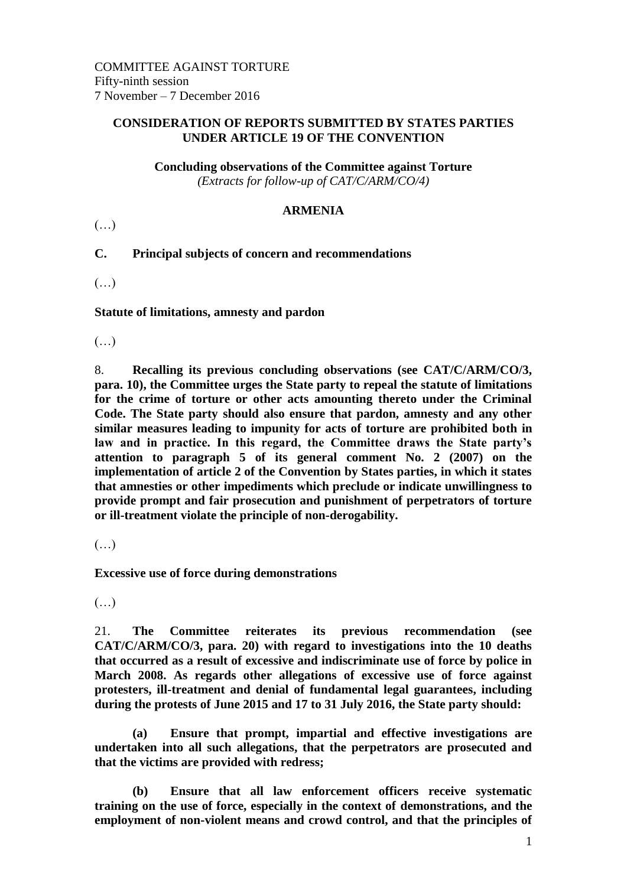## **CONSIDERATION OF REPORTS SUBMITTED BY STATES PARTIES UNDER ARTICLE 19 OF THE CONVENTION**

**Concluding observations of the Committee against Torture** *(Extracts for follow-up of CAT/C/ARM/CO/4)*

## **ARMENIA**

(…)

## **C. Principal subjects of concern and recommendations**

(…)

**Statute of limitations, amnesty and pardon**

 $(\ldots)$ 

8. **Recalling its previous concluding observations (see CAT/C/ARM/CO/3, para. 10), the Committee urges the State party to repeal the statute of limitations for the crime of torture or other acts amounting thereto under the Criminal Code. The State party should also ensure that pardon, amnesty and any other similar measures leading to impunity for acts of torture are prohibited both in law and in practice. In this regard, the Committee draws the State party's attention to paragraph 5 of its general comment No. 2 (2007) on the implementation of article 2 of the Convention by States parties, in which it states that amnesties or other impediments which preclude or indicate unwillingness to provide prompt and fair prosecution and punishment of perpetrators of torture or ill-treatment violate the principle of non-derogability.**

 $(\ldots)$ 

**Excessive use of force during demonstrations**

 $(\ldots)$ 

21. **The Committee reiterates its previous recommendation (see CAT/C/ARM/CO/3, para. 20) with regard to investigations into the 10 deaths that occurred as a result of excessive and indiscriminate use of force by police in March 2008. As regards other allegations of excessive use of force against protesters, ill-treatment and denial of fundamental legal guarantees, including during the protests of June 2015 and 17 to 31 July 2016, the State party should:**

**(a) Ensure that prompt, impartial and effective investigations are undertaken into all such allegations, that the perpetrators are prosecuted and that the victims are provided with redress;**

**(b) Ensure that all law enforcement officers receive systematic training on the use of force, especially in the context of demonstrations, and the employment of non-violent means and crowd control, and that the principles of**